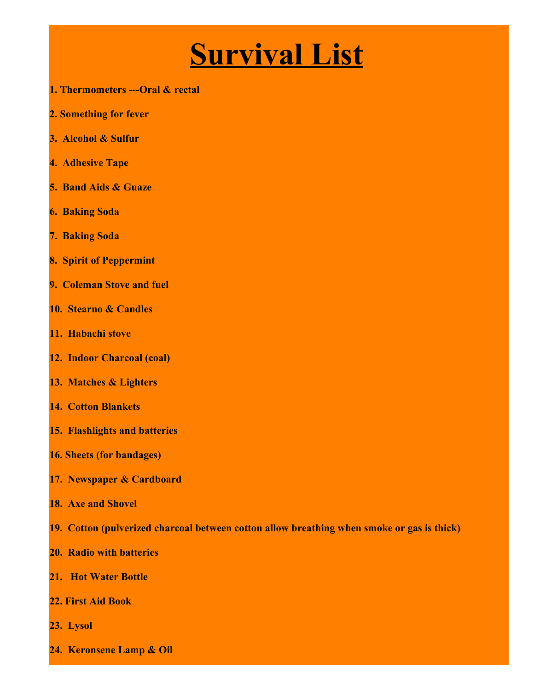## **Survival List**

- **1. Thermometers ---Oral & rectal**
- **2. Something for fever**
- **3. Alcohol & Sulfur**
- **4. Adhesive Tape**
- **5. Band Aids & Guaze**
- **6. Baking Soda**
- **7. Baking Soda**
- **8. Spirit of Peppermint**
- **9. Coleman Stove and fuel**
- **10. Stearno & Candles**
- **11. Habachi stove**
- **12. Indoor Charcoal (coal)**
- **13. Matches & Lighters**
- **14. Cotton Blankets**
- **15. Flashlights and batteries**
- **16. Sheets (for bandages)**
- **17. Newspaper & Cardboard**
- **18. Axe and Shovel**
- **19. Cotton (pulverized charcoal between cotton allow breathing when smoke or gas is thick)**
- **20. Radio with batteries**
- **21. Hot Water Bottle**
- **22. First Aid Book**
- **23. Lysol**
- **24. Keronsene Lamp & Oil**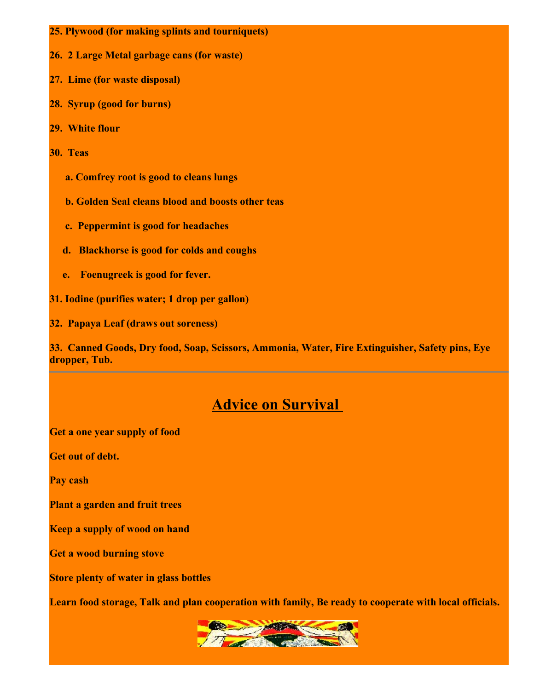- **25. Plywood (for making splints and tourniquets)**
- **26. 2 Large Metal garbage cans (for waste)**
- **27. Lime (for waste disposal)**
- **28. Syrup (good for burns)**
- **29. White flour**
- **30. Teas**
	- **a. Comfrey root is good to cleans lungs**
	- **b. Golden Seal cleans blood and boosts other teas**
	- **c. Peppermint is good for headaches**
	- **d. Blackhorse is good for colds and coughs**
	- **e. Foenugreek is good for fever.**
- **31. Iodine (purifies water; 1 drop per gallon)**
- **32. Papaya Leaf (draws out soreness)**

**33. Canned Goods, Dry food, Soap, Scissors, Ammonia, Water, Fire Extinguisher, Safety pins, Eye dropper, Tub.**

## **Advice on Survival**

**Get a one year supply of food**

**Get out of debt.**

**Pay cash**

**Plant a garden and fruit trees**

**Keep a supply of wood on hand**

**Get a wood burning stove**

**Store plenty of water in glass bottles**

**Learn food storage, Talk and plan cooperation with family, Be ready to cooperate with local officials.**